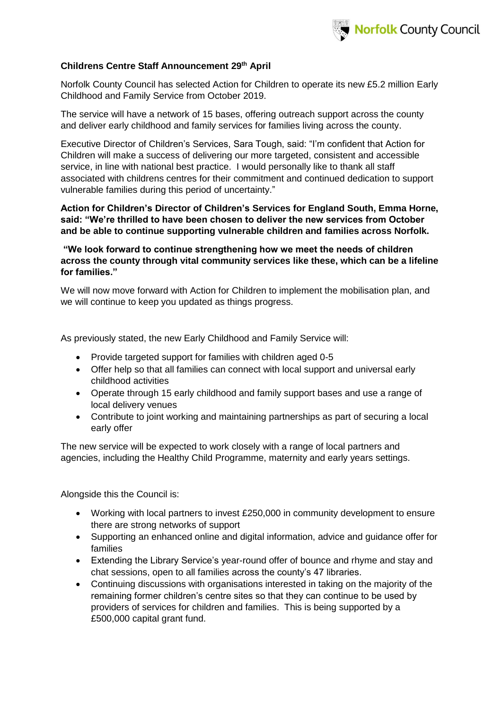

#### **Childrens Centre Staff Announcement 29 th April**

Norfolk County Council has selected Action for Children to operate its new £5.2 million Early Childhood and Family Service from October 2019.

The service will have a network of 15 bases, offering outreach support across the county and deliver early childhood and family services for families living across the county.

Executive Director of Children's Services, Sara Tough, said: "I'm confident that Action for Children will make a success of delivering our more targeted, consistent and accessible service, in line with national best practice. I would personally like to thank all staff associated with childrens centres for their commitment and continued dedication to support vulnerable families during this period of uncertainty."

**Action for Children's Director of Children's Services for England South, Emma Horne, said: "We're thrilled to have been chosen to deliver the new services from October and be able to continue supporting vulnerable children and families across Norfolk.**

**"We look forward to continue strengthening how we meet the needs of children across the county through vital community services like these, which can be a lifeline for families."**

We will now move forward with Action for Children to implement the mobilisation plan, and we will continue to keep you updated as things progress.

As previously stated, the new Early Childhood and Family Service will:

- Provide targeted support for families with children aged 0-5
- Offer help so that all families can connect with local support and universal early childhood activities
- Operate through 15 early childhood and family support bases and use a range of local delivery venues
- Contribute to joint working and maintaining partnerships as part of securing a local early offer

The new service will be expected to work closely with a range of local partners and agencies, including the Healthy Child Programme, maternity and early years settings.

Alongside this the Council is:

- Working with local partners to invest £250,000 in community development to ensure there are strong networks of support
- Supporting an enhanced online and digital information, advice and guidance offer for families
- Extending the Library Service's year-round offer of bounce and rhyme and stay and chat sessions, open to all families across the county's 47 libraries.
- Continuing discussions with organisations interested in taking on the majority of the remaining former children's centre sites so that they can continue to be used by providers of services for children and families. This is being supported by a £500,000 capital grant fund.